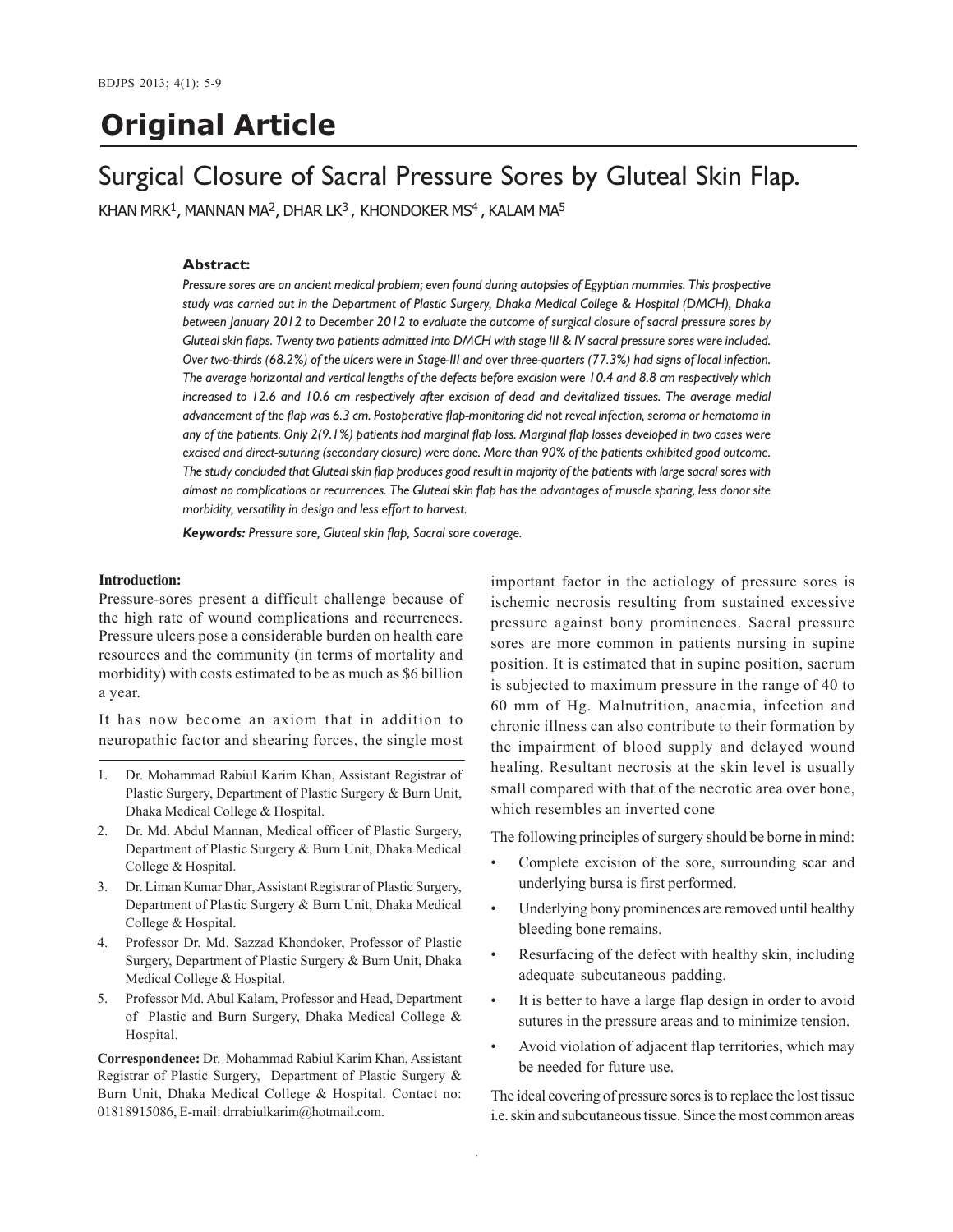# **Original Article**

## Surgical Closure of Sacral Pressure Sores by Gluteal Skin Flap.

KHAN MRK $^1$ , MANNAN MA $^2$ , DHAR LK $^3$ , KHONDOKER MS $^4$ , KALAM MA $^5$ 

#### **Abstract:**

*Pressure sores are an ancient medical problem; even found during autopsies of Egyptian mummies. This prospective study was carried out in the Department of Plastic Surgery, Dhaka Medical College & Hospital (DMCH), Dhaka between January 2012 to December 2012 to evaluate the outcome of surgical closure of sacral pressure sores by Gluteal skin flaps. Twenty two patients admitted into DMCH with stage III & IV sacral pressure sores were included. Over two-thirds (68.2%) of the ulcers were in Stage-III and over three-quarters (77.3%) had signs of local infection. The average horizontal and vertical lengths of the defects before excision were 10.4 and 8.8 cm respectively which increased to 12.6 and 10.6 cm respectively after excision of dead and devitalized tissues. The average medial advancement of the flap was 6.3 cm. Postoperative flap-monitoring did not reveal infection, seroma or hematoma in any of the patients. Only 2(9.1%) patients had marginal flap loss. Marginal flap losses developed in two cases were excised and direct-suturing (secondary closure) were done. More than 90% of the patients exhibited good outcome. The study concluded that Gluteal skin flap produces good result in majority of the patients with large sacral sores with almost no complications or recurrences. The Gluteal skin flap has the advantages of muscle sparing, less donor site morbidity, versatility in design and less effort to harvest.*

.

*Keywords: Pressure sore, Gluteal skin flap, Sacral sore coverage.*

#### **Introduction:**

Pressure-sores present a difficult challenge because of the high rate of wound complications and recurrences. Pressure ulcers pose a considerable burden on health care resources and the community (in terms of mortality and morbidity) with costs estimated to be as much as \$6 billion a year.

It has now become an axiom that in addition to neuropathic factor and shearing forces, the single most

- 1. Dr. Mohammad Rabiul Karim Khan, Assistant Registrar of Plastic Surgery, Department of Plastic Surgery & Burn Unit, Dhaka Medical College & Hospital.
- 2. Dr. Md. Abdul Mannan, Medical officer of Plastic Surgery, Department of Plastic Surgery & Burn Unit, Dhaka Medical College & Hospital.
- 3. Dr. Liman Kumar Dhar, Assistant Registrar of Plastic Surgery, Department of Plastic Surgery & Burn Unit, Dhaka Medical College & Hospital.
- 4. Professor Dr. Md. Sazzad Khondoker, Professor of Plastic Surgery, Department of Plastic Surgery & Burn Unit, Dhaka Medical College & Hospital.
- 5. Professor Md. Abul Kalam, Professor and Head, Department of Plastic and Burn Surgery, Dhaka Medical College & Hospital.

**Correspondence:** Dr. Mohammad Rabiul Karim Khan, Assistant Registrar of Plastic Surgery, Department of Plastic Surgery & Burn Unit, Dhaka Medical College & Hospital. Contact no: 01818915086, E-mail: drrabiulkarim@hotmail.com.

important factor in the aetiology of pressure sores is ischemic necrosis resulting from sustained excessive pressure against bony prominences. Sacral pressure sores are more common in patients nursing in supine position. It is estimated that in supine position, sacrum is subjected to maximum pressure in the range of 40 to 60 mm of Hg. Malnutrition, anaemia, infection and chronic illness can also contribute to their formation by the impairment of blood supply and delayed wound healing. Resultant necrosis at the skin level is usually small compared with that of the necrotic area over bone, which resembles an inverted cone

The following principles of surgery should be borne in mind:

- Complete excision of the sore, surrounding scar and underlying bursa is first performed.
- Underlying bony prominences are removed until healthy bleeding bone remains.
- Resurfacing of the defect with healthy skin, including adequate subcutaneous padding.
- It is better to have a large flap design in order to avoid sutures in the pressure areas and to minimize tension.
- Avoid violation of adjacent flap territories, which may be needed for future use.

The ideal covering of pressure sores is to replace the lost tissue i.e. skin and subcutaneous tissue. Since the most common areas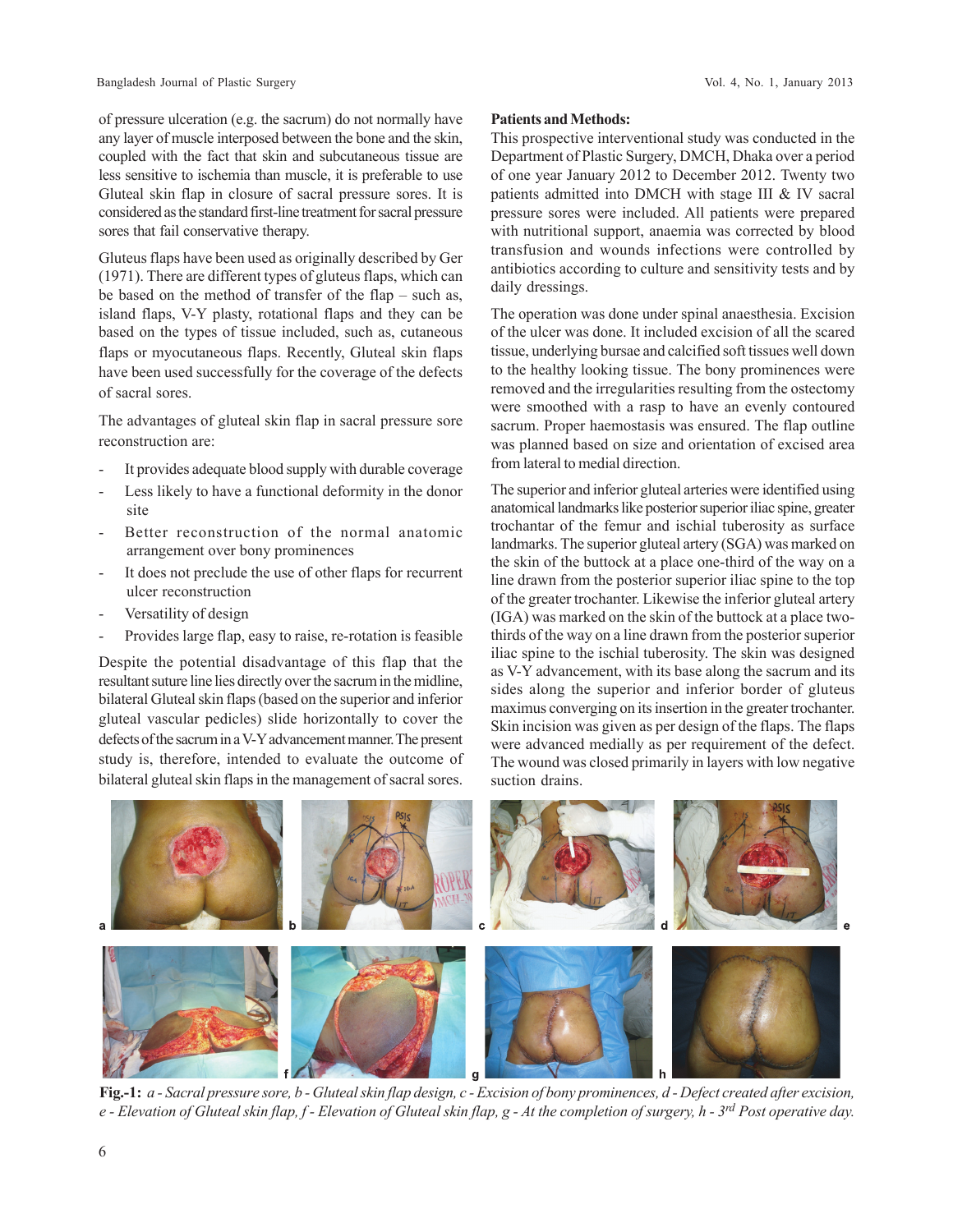of pressure ulceration (e.g. the sacrum) do not normally have any layer of muscle interposed between the bone and the skin, coupled with the fact that skin and subcutaneous tissue are less sensitive to ischemia than muscle, it is preferable to use Gluteal skin flap in closure of sacral pressure sores. It is considered as the standard first-line treatment for sacral pressure sores that fail conservative therapy.

Gluteus flaps have been used as originally described by Ger (1971). There are different types of gluteus flaps, which can be based on the method of transfer of the flap – such as, island flaps, V-Y plasty, rotational flaps and they can be based on the types of tissue included, such as, cutaneous flaps or myocutaneous flaps. Recently, Gluteal skin flaps have been used successfully for the coverage of the defects of sacral sores.

The advantages of gluteal skin flap in sacral pressure sore reconstruction are:

- It provides adequate blood supply with durable coverage
- Less likely to have a functional deformity in the donor site
- Better reconstruction of the normal anatomic arrangement over bony prominences
- It does not preclude the use of other flaps for recurrent ulcer reconstruction
- Versatility of design
- Provides large flap, easy to raise, re-rotation is feasible

Despite the potential disadvantage of this flap that the resultant suture line lies directly over the sacrum in the midline, bilateral Gluteal skin flaps (based on the superior and inferior gluteal vascular pedicles) slide horizontally to cover the defects of the sacrum in a V-Y advancement manner. The present study is, therefore, intended to evaluate the outcome of bilateral gluteal skin flaps in the management of sacral sores.

### **Patients and Methods:**

This prospective interventional study was conducted in the Department of Plastic Surgery, DMCH, Dhaka over a period of one year January 2012 to December 2012. Twenty two patients admitted into DMCH with stage III & IV sacral pressure sores were included. All patients were prepared with nutritional support, anaemia was corrected by blood transfusion and wounds infections were controlled by antibiotics according to culture and sensitivity tests and by daily dressings.

The operation was done under spinal anaesthesia. Excision of the ulcer was done. It included excision of all the scared tissue, underlying bursae and calcified soft tissues well down to the healthy looking tissue. The bony prominences were removed and the irregularities resulting from the ostectomy were smoothed with a rasp to have an evenly contoured sacrum. Proper haemostasis was ensured. The flap outline was planned based on size and orientation of excised area from lateral to medial direction.

The superior and inferior gluteal arteries were identified using anatomical landmarks like posterior superior iliac spine, greater trochantar of the femur and ischial tuberosity as surface landmarks. The superior gluteal artery (SGA) was marked on the skin of the buttock at a place one-third of the way on a line drawn from the posterior superior iliac spine to the top of the greater trochanter. Likewise the inferior gluteal artery (IGA) was marked on the skin of the buttock at a place twothirds of the way on a line drawn from the posterior superior iliac spine to the ischial tuberosity. The skin was designed as V-Y advancement, with its base along the sacrum and its sides along the superior and inferior border of gluteus maximus converging on its insertion in the greater trochanter. Skin incision was given as per design of the flaps. The flaps were advanced medially as per requirement of the defect. The wound was closed primarily in layers with low negative suction drains.



**Fig.-1:** *a - Sacral pressure sore, b - Gluteal skin flap design, c - Excision of bony prominences, d - Defect created after excision, e - Elevation of Gluteal skin flap, f - Elevation of Gluteal skin flap, g - At the completion of surgery, h - 3rd Post operative day.*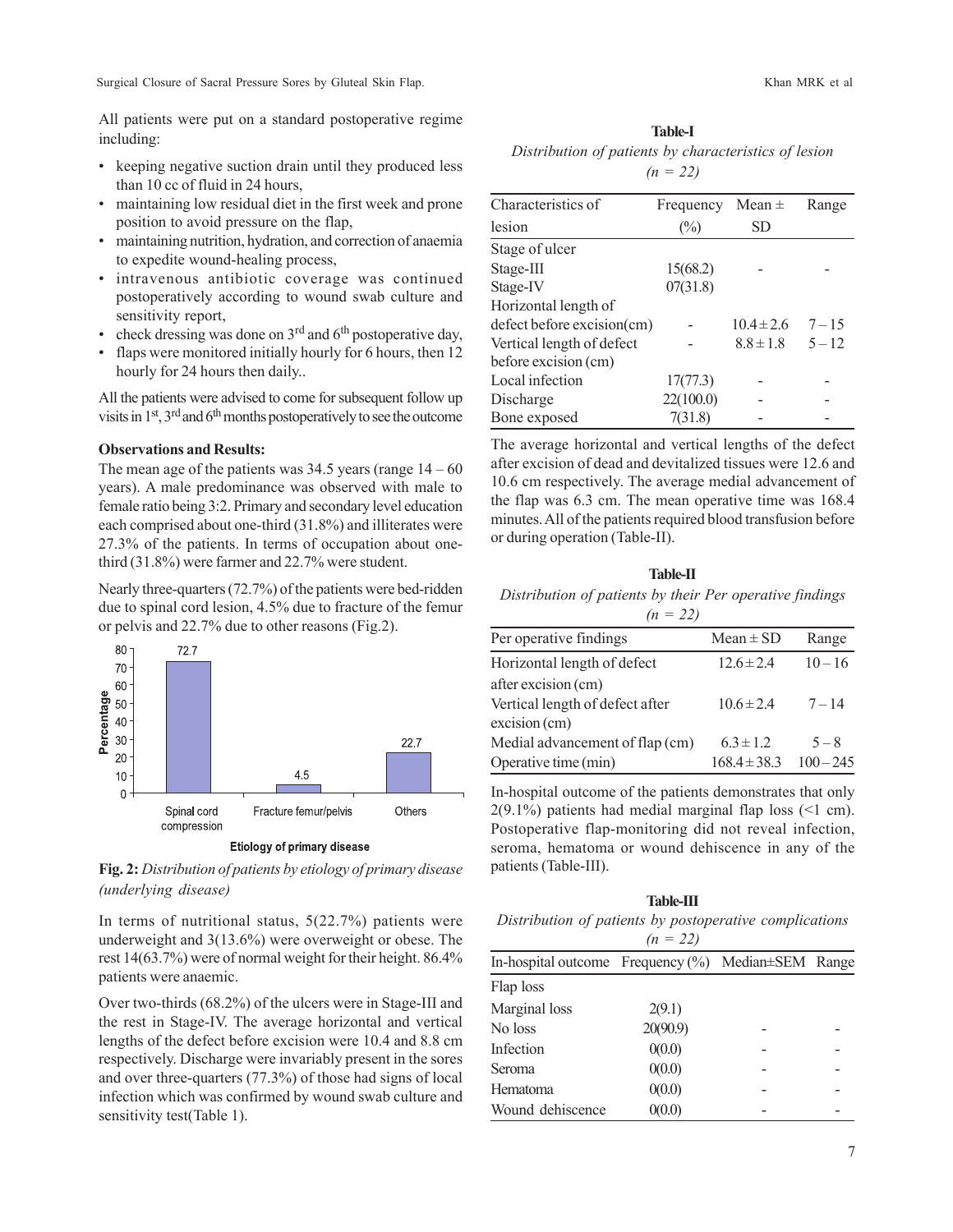All patients were put on a standard postoperative regime including:

- keeping negative suction drain until they produced less than 10 cc of fluid in 24 hours,
- maintaining low residual diet in the first week and prone position to avoid pressure on the flap,
- maintaining nutrition, hydration, and correction of anaemia to expedite wound-healing process,
- intravenous antibiotic coverage was continued postoperatively according to wound swab culture and sensitivity report,
- check dressing was done on  $3<sup>rd</sup>$  and  $6<sup>th</sup>$  postoperative day,
- flaps were monitored initially hourly for 6 hours, then 12 hourly for 24 hours then daily..

All the patients were advised to come for subsequent follow up visits in  $1<sup>st</sup>$ ,  $3<sup>rd</sup>$  and  $6<sup>th</sup>$  months postoperatively to see the outcome

#### **Observations and Results:**

The mean age of the patients was  $34.5$  years (range  $14 - 60$ ) years). A male predominance was observed with male to female ratio being 3:2. Primary and secondary level education each comprised about one-third (31.8%) and illiterates were 27.3% of the patients. In terms of occupation about onethird (31.8%) were farmer and 22.7% were student.

Nearly three-quarters (72.7%) of the patients were bed-ridden due to spinal cord lesion, 4.5% due to fracture of the femur or pelvis and 22.7% due to other reasons (Fig.2).



**Fig. 2:** *Distribution of patients by etiology of primary disease (underlying disease)*

In terms of nutritional status,  $5(22.7%)$  patients were underweight and 3(13.6%) were overweight or obese. The rest 14(63.7%) were of normal weight for their height. 86.4% patients were anaemic.

Over two-thirds (68.2%) of the ulcers were in Stage-III and the rest in Stage-IV. The average horizontal and vertical lengths of the defect before excision were 10.4 and 8.8 cm respectively. Discharge were invariably present in the sores and over three-quarters (77.3%) of those had signs of local infection which was confirmed by wound swab culture and sensitivity test(Table 1).

#### **Table-I**

*Distribution of patients by characteristics of lesion (n = 22)*

| Characteristics of         | Frequency | Mean $\pm$     | Range    |
|----------------------------|-----------|----------------|----------|
| lesion                     | $(\%)$    | <b>SD</b>      |          |
| Stage of ulcer             |           |                |          |
| Stage-III                  | 15(68.2)  |                |          |
| Stage-IV                   | 07(31.8)  |                |          |
| Horizontal length of       |           |                |          |
| defect before excision(cm) |           | $10.4 \pm 2.6$ | $7 - 15$ |
| Vertical length of defect  |           | $8.8 \pm 1.8$  | $5 - 12$ |
| before excision (cm)       |           |                |          |
| Local infection            | 17(77.3)  |                |          |
| Discharge                  | 22(100.0) |                |          |
| Bone exposed               | 7(31.8)   |                |          |

The average horizontal and vertical lengths of the defect after excision of dead and devitalized tissues were 12.6 and 10.6 cm respectively. The average medial advancement of the flap was 6.3 cm. The mean operative time was 168.4 minutes. All of the patients required blood transfusion before or during operation (Table-II).

### **Table-II** *Distribution of patients by their Per operative findings*

|--|--|

| Per operative findings          | $Mean \pm SD$    | Range       |
|---------------------------------|------------------|-------------|
| Horizontal length of defect     | $12.6 \pm 2.4$   | $10 - 16$   |
| after excision (cm)             |                  |             |
| Vertical length of defect after | $10.6 \pm 2.4$   | $7 - 14$    |
| $excision$ (cm)                 |                  |             |
| Medial advancement of flap (cm) | $6.3 \pm 1.2$    | $5 - 8$     |
| Operative time (min)            | $168.4 \pm 38.3$ | $100 - 245$ |

In-hospital outcome of the patients demonstrates that only  $2(9.1\%)$  patients had medial marginal flap loss (<1 cm). Postoperative flap-monitoring did not reveal infection, seroma, hematoma or wound dehiscence in any of the patients (Table-III).

| <b>Table-III</b>                                            |          |  |  |  |  |
|-------------------------------------------------------------|----------|--|--|--|--|
| Distribution of patients by postoperative complications     |          |  |  |  |  |
| $(n = 22)$                                                  |          |  |  |  |  |
| In-hospital outcome Frequency $(\%)$ Median $\pm$ SEM Range |          |  |  |  |  |
| Flap loss                                                   |          |  |  |  |  |
| Marginal loss                                               | 2(9.1)   |  |  |  |  |
| No loss                                                     | 20(90.9) |  |  |  |  |
| Infection                                                   | 0(0.0)   |  |  |  |  |
| Seroma                                                      | 0(0.0)   |  |  |  |  |
| <b>Hematoma</b>                                             | 0(0.0)   |  |  |  |  |
| Wound dehiscence                                            | 0(0.0)   |  |  |  |  |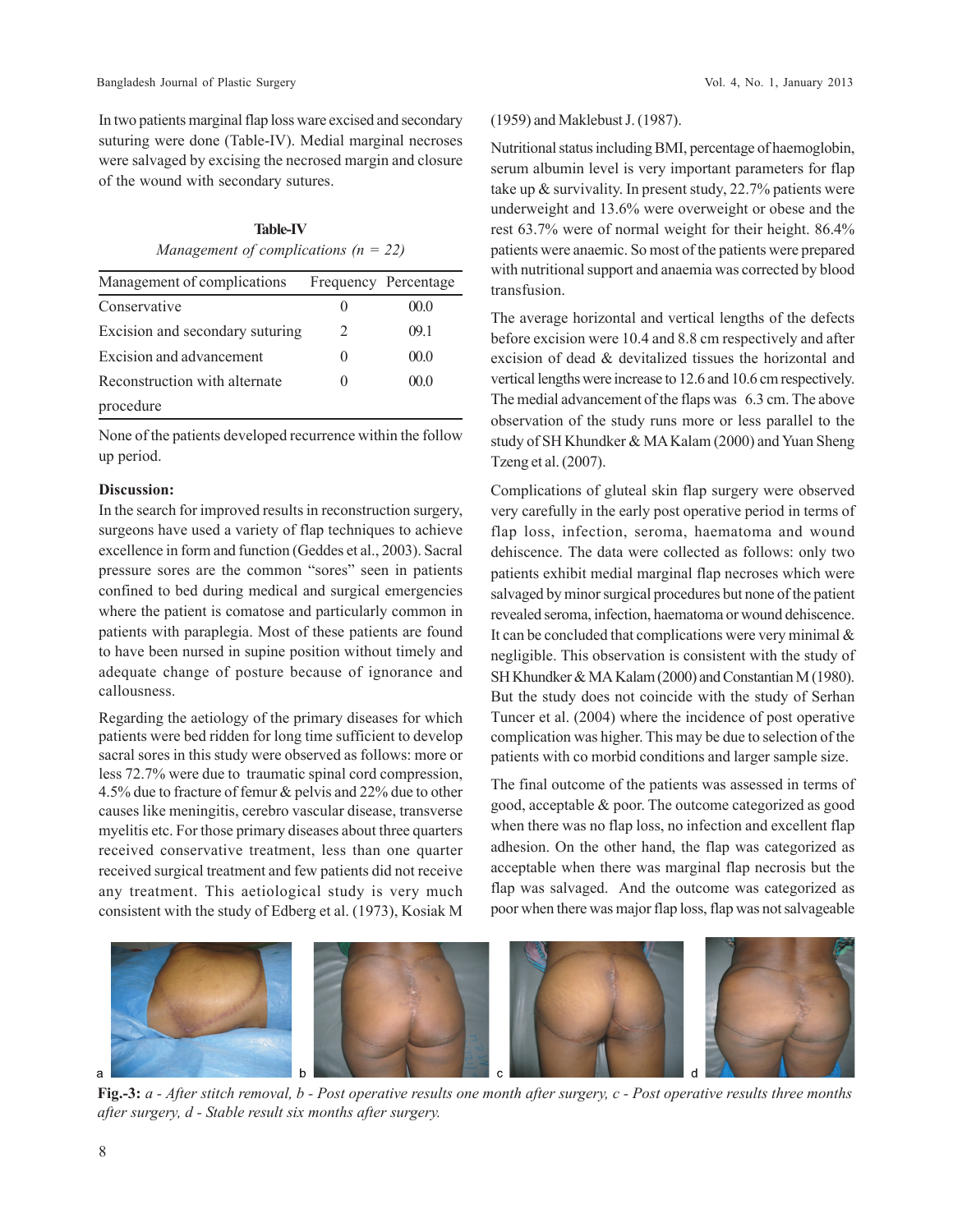In two patients marginal flap loss ware excised and secondary suturing were done (Table-IV). Medial marginal necroses were salvaged by excising the necrosed margin and closure of the wound with secondary sutures.

**Table-IV** *Management of complications (n = 22)*

| Management of complications     |              | Frequency Percentage |
|---------------------------------|--------------|----------------------|
| Conservative                    | $\mathbf{0}$ | 00.0                 |
| Excision and secondary suturing | 2            | 09.1                 |
| Excision and advancement        | $\mathbf{0}$ | 00.0                 |
| Reconstruction with alternate   | $\mathbf{0}$ | 000                  |
| procedure                       |              |                      |

None of the patients developed recurrence within the follow up period.

#### **Discussion:**

In the search for improved results in reconstruction surgery, surgeons have used a variety of flap techniques to achieve excellence in form and function (Geddes et al., 2003). Sacral pressure sores are the common "sores" seen in patients confined to bed during medical and surgical emergencies where the patient is comatose and particularly common in patients with paraplegia. Most of these patients are found to have been nursed in supine position without timely and adequate change of posture because of ignorance and callousness.

Regarding the aetiology of the primary diseases for which patients were bed ridden for long time sufficient to develop sacral sores in this study were observed as follows: more or less 72.7% were due to traumatic spinal cord compression, 4.5% due to fracture of femur & pelvis and 22% due to other causes like meningitis, cerebro vascular disease, transverse myelitis etc. For those primary diseases about three quarters received conservative treatment, less than one quarter received surgical treatment and few patients did not receive any treatment. This aetiological study is very much consistent with the study of Edberg et al. (1973), Kosiak M

#### (1959) and Maklebust J. (1987).

Nutritional status including BMI, percentage of haemoglobin, serum albumin level is very important parameters for flap take up & survivality. In present study, 22.7% patients were underweight and 13.6% were overweight or obese and the rest 63.7% were of normal weight for their height. 86.4% patients were anaemic. So most of the patients were prepared with nutritional support and anaemia was corrected by blood transfusion.

The average horizontal and vertical lengths of the defects before excision were 10.4 and 8.8 cm respectively and after excision of dead & devitalized tissues the horizontal and vertical lengths were increase to 12.6 and 10.6 cm respectively. The medial advancement of the flaps was 6.3 cm. The above observation of the study runs more or less parallel to the study of SH Khundker & MA Kalam (2000) and Yuan Sheng Tzeng et al. (2007).

Complications of gluteal skin flap surgery were observed very carefully in the early post operative period in terms of flap loss, infection, seroma, haematoma and wound dehiscence. The data were collected as follows: only two patients exhibit medial marginal flap necroses which were salvaged by minor surgical procedures but none of the patient revealed seroma, infection, haematoma or wound dehiscence. It can be concluded that complications were very minimal  $\&$ negligible. This observation is consistent with the study of SH Khundker & MA Kalam (2000) and Constantian M (1980). But the study does not coincide with the study of Serhan Tuncer et al. (2004) where the incidence of post operative complication was higher. This may be due to selection of the patients with co morbid conditions and larger sample size.

The final outcome of the patients was assessed in terms of good, acceptable & poor. The outcome categorized as good when there was no flap loss, no infection and excellent flap adhesion. On the other hand, the flap was categorized as acceptable when there was marginal flap necrosis but the flap was salvaged. And the outcome was categorized as poor when there was major flap loss, flap was not salvageable



**Fig.-3:** *a - After stitch removal, b - Post operative results one month after surgery, c - Post operative results three months after surgery, d - Stable result six months after surgery.*